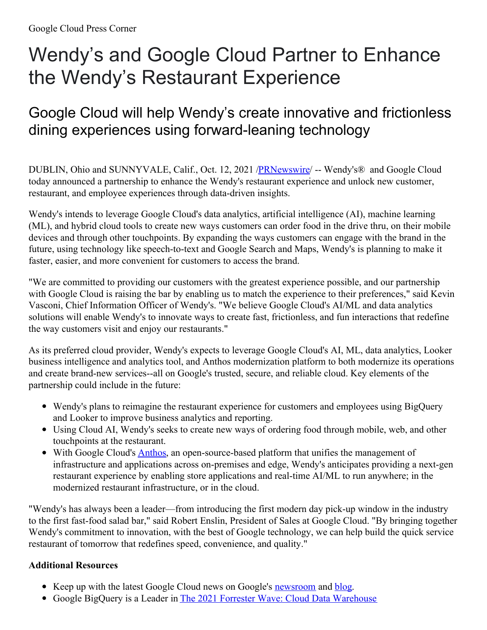# Wendy's and Google Cloud Partner to Enhance the Wendy's Restaurant Experience

## Google Cloud will help Wendy's create innovative and frictionless dining experiences using forward-leaning technology

DUBLIN, Ohio and SUNNYVALE, Calif., Oct. 12, 2021 [/PRNewswire](http://www.prnewswire.com/)/ -- Wendy's® and Google Cloud today announced a partnership to enhance the Wendy's restaurant experience and unlock new customer, restaurant, and employee experiences through data-driven insights.

Wendy's intends to leverage Google Cloud's data analytics, artificial intelligence (AI), machine learning (ML), and hybrid cloud tools to create new ways customers can order food in the drive thru, on their mobile devices and through other touchpoints. By expanding the ways customers can engage with the brand in the future, using technology like speech-to-text and Google Search and Maps, Wendy's is planning to make it faster, easier, and more convenient for customers to access the brand.

"We are committed to providing our customers with the greatest experience possible, and our partnership with Google Cloud is raising the bar by enabling us to match the experience to their preferences," said Kevin Vasconi, Chief Information Officer of Wendy's. "We believe Google Cloud's AI/ML and data analytics solutions will enable Wendy's to innovate ways to create fast, frictionless, and fun interactions that redefine the way customers visit and enjoy our restaurants."

As its preferred cloud provider, Wendy's expects to leverage Google Cloud's AI, ML, data analytics, Looker business intelligence and analytics tool, and Anthos modernization platform to both modernize its operations and create brand-new services--all on Google's trusted, secure, and reliable cloud. Key elements of the partnership could include in the future:

- Wendy's plans to reimagine the restaurant experience for customers and employees using BigQuery and Looker to improve business analytics and reporting.
- Using Cloud AI, Wendy's seeks to create new ways of ordering food through mobile, web, and other touchpoints at the restaurant.
- With Google Cloud's **[Anthos](https://c212.net/c/link/?t=0&l=en&o=3318153-1&h=2450356014&u=https%3A%2F%2Fcloud.google.com%2Fanthos&a=Anthos)**, an open-source-based platform that unifies the management of infrastructure and applications across on-premises and edge, Wendy's anticipates providing a next-gen restaurant experience by enabling store applications and real-time AI/ML to run anywhere; in the modernized restaurant infrastructure, or in the cloud.

"Wendy's has always been a leader—from introducing the first modern day pick-up window in the industry to the first fast-food salad bar," said Robert Enslin, President of Sales at Google Cloud. "By bringing together Wendy's commitment to innovation, with the best of Google technology, we can help build the quick service restaurant of tomorrow that redefines speed, convenience, and quality."

### **Additional Resources**

- Keep up with the latest Google Cloud news on Google's [newsroom](https://c212.net/c/link/?t=0&l=en&o=3318153-1&h=555438951&u=https%3A%2F%2Fcloud.google.com%2Fpress-releases&a=newsroom) and [blog](https://c212.net/c/link/?t=0&l=en&o=3318153-1&h=2288680491&u=https%3A%2F%2Fcloud.google.com%2Fblog%2F%3Futm_source%3Dwire%26utm_medium%3Ddisplay%26utm_campaign%3DFY21-press-release-related-content-links%26utm_content%3Dge-press-release-google-cloud-blog-homepage&a=blog).
- Google BigQuery is a Leader in The 2021 Forrester Wave: Cloud Data [Warehouse](https://c212.net/c/link/?t=0&l=en&o=3318153-1&h=3665305130&u=https%3A%2F%2Fcloud.google.com%2Fblog%2Fproducts%2Fdata-analytics%2Fgoogle-cloud-a-leader-in-2021-forrester-wave-cloud-data-warehouse%3Futm_source%3Dwire%26utm_medium%3Ddisplay%26utm_campaign%3DFY21-press-release-related-content-links%26utm_content%3Dwendys-press-release-google-bq-leader-2021-forrester-wave-cloud-data-warehouse%26utm_term%3D-&a=The+2021+Forrester+Wave%3A+Cloud+Data+Warehouse)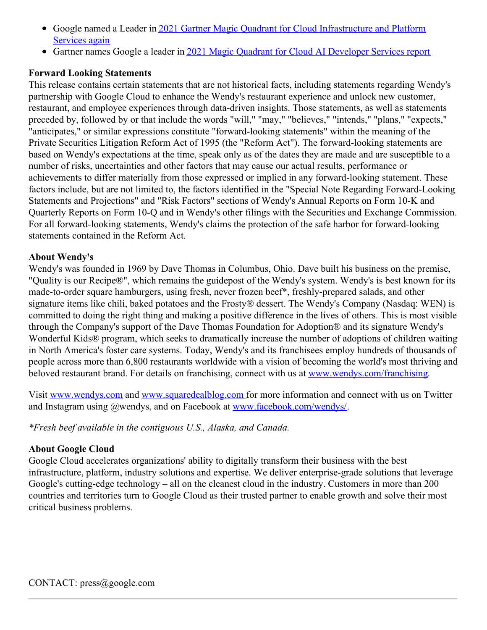- Google named a Leader in 2021 Gartner Magic Quadrant for Cloud [Infrastructure](https://c212.net/c/link/?t=0&l=en&o=3318153-1&h=3474416763&u=https%3A%2F%2Fcloud.google.com%2Fblog%2Fproducts%2Fgcp%2Fgoogle-cloud-a-leader-in-2021-gartner-iaas-mq%3Futm_source%3Dwire%26utm_medium%3Ddisplay%26utm_campaign%3DFY21-press-release-related-content-links%26utm_content%3Dwendys-press-release-google-leader-2021-gartner-mq-cloud-infrastructure-platform-services-again%26utm_term%3D-&a=2021+Gartner+Magic+Quadrant+for+Cloud+Infrastructure+and+Platform+Services+again) and Platform Services again
- Gartner names Google a leader in 2021 Magic Quadrant for Cloud AI [Developer](https://c212.net/c/link/?t=0&l=en&o=3318153-1&h=1906846691&u=https%3A%2F%2Fcloud.google.com%2Fblog%2Fproducts%2Fai-machine-learning%2Fgoogle-cloud-a-leader-in-gartner-mq-for-cloud-ai-developer-services%3Futm_source%3Dwire%26utm_medium%3Ddisplay%26utm_campaign%3DFY21-press-release-related-content-links%26utm_content%3Dwendys-press-release-gartner-names-google-leader-2021-mq-cloud-ai-developer-services-report%26utm_term%3D-&a=2021+Magic+Quadrant+for+Cloud+AI+Developer+Services+report) Services report

### **Forward Looking Statements**

This release contains certain statements that are not historical facts, including statements regarding Wendy's partnership with Google Cloud to enhance the Wendy's restaurant experience and unlock new customer, restaurant, and employee experiences through data-driven insights. Those statements, as well as statements preceded by, followed by or that include the words "will," "may," "believes," "intends," "plans," "expects," "anticipates," or similar expressions constitute "forward-looking statements" within the meaning of the Private Securities Litigation Reform Act of 1995 (the "Reform Act"). The forward-looking statements are based on Wendy's expectations at the time, speak only as of the dates they are made and are susceptible to a number of risks, uncertainties and other factors that may cause our actual results, performance or achievements to differ materially from those expressed or implied in any forward-looking statement. These factors include, but are not limited to, the factors identified in the "Special Note Regarding Forward-Looking Statements and Projections" and "Risk Factors" sections of Wendy's Annual Reports on Form 10-K and Quarterly Reports on Form 10-Q and in Wendy's other filings with the Securities and Exchange Commission. For all forward-looking statements, Wendy's claims the protection of the safe harbor for forward-looking statements contained in the Reform Act.

#### **About Wendy's**

Wendy's was founded in 1969 by Dave Thomas in Columbus, Ohio. Dave built his business on the premise, "Quality is our Recipe®", which remains the guidepost of the Wendy's system. Wendy's is best known for its made-to-order square hamburgers, using fresh, never frozen beef\*, freshly-prepared salads, and other signature items like chili, baked potatoes and the Frosty® dessert. The Wendy's Company (Nasdaq: WEN) is committed to doing the right thing and making a positive difference in the lives of others. This is most visible through the Company's support of the Dave Thomas Foundation for Adoption® and its signature Wendy's Wonderful Kids® program, which seeks to dramatically increase the number of adoptions of children waiting in North America's foster care systems. Today, Wendy's and its franchisees employ hundreds of thousands of people across more than 6,800 restaurants worldwide with a vision of becoming the world's most thriving and beloved restaurant brand. For details on franchising, connect with us at [www.wendys.com/franchising](https://c212.net/c/link/?t=0&l=en&o=3318153-1&h=906035207&u=https%3A%2F%2Fc212.net%2Fc%2Flink%2F%3Ft%3D0%26l%3Den%26o%3D3283883-1%26h%3D2634274284%26u%3Dhttps%253A%252F%252Furldefense.proofpoint.com%252Fv2%252Furl%253Fu%253Dhttp-3A__www.wendys.com_franchising%2526d%253DDwMGaQ%2526c%253D9wxE0DgWbPxd1HCzjwN8Eaww1--ViDajIU4RXCxgSXE%2526r%253DbdI3TXWQyk1tmOZPWgwUGtjCMQNWBGyzwThH4n1X2F4%2526m%253DDNvfCbTQ68bnggO_KAYnpXlPG0FoKknn3wqjKPvPH7A%2526s%253DGW7JPSikhcEPEnc-cbeyUs9jv2bvbHpOEzSzBM3h97s%2526e%253D%26a%3Dwww.wendys.com%252Ffranchising&a=www.wendys.com%2Ffranchising).

Visit [www.wendys.com](https://c212.net/c/link/?t=0&l=en&o=3318153-1&h=2278456683&u=https%3A%2F%2Fc212.net%2Fc%2Flink%2F%3Ft%3D0%26l%3Den%26o%3D3283883-1%26h%3D1639579113%26u%3Dhttps%253A%252F%252Furldefense.proofpoint.com%252Fv2%252Furl%253Fu%253Dhttp-3A__www.wendys.com%2526d%253DDwMGaQ%2526c%253D9wxE0DgWbPxd1HCzjwN8Eaww1--ViDajIU4RXCxgSXE%2526r%253DbdI3TXWQyk1tmOZPWgwUGtjCMQNWBGyzwThH4n1X2F4%2526m%253DDNvfCbTQ68bnggO_KAYnpXlPG0FoKknn3wqjKPvPH7A%2526s%253Dhqy9a2BJyJ70fhxRrgiiHea5OxO9LfiDLqcJ52HO-MA%2526e%253D%26a%3Dwww.wendys.com&a=www.wendys.com) and [www.squaredealblog.com](https://c212.net/c/link/?t=0&l=en&o=3318153-1&h=3160915362&u=https%3A%2F%2Fc212.net%2Fc%2Flink%2F%3Ft%3D0%26l%3Den%26o%3D3283883-1%26h%3D2546659645%26u%3Dhttps%253A%252F%252Furldefense.proofpoint.com%252Fv2%252Furl%253Fu%253Dhttps-3A__clicktime.symantec.com_3ULC4dGKSeviyAQK7NRs12G7Vc-3Fu-3Dhttp-253A-252F-252Fwww.squaredealblog.com%2526d%253DDwMGaQ%2526c%253D9wxE0DgWbPxd1HCzjwN8Eaww1--ViDajIU4RXCxgSXE%2526r%253DbdI3TXWQyk1tmOZPWgwUGtjCMQNWBGyzwThH4n1X2F4%2526m%253DDNvfCbTQ68bnggO_KAYnpXlPG0FoKknn3wqjKPvPH7A%2526s%253DMyt0Oz9MrIow35QbTgOOOc9QBNgaJTSpabhRqHPdXzQ%2526e%253D%26a%3Dwww.squaredealblog.com&a=www.squaredealblog.com) for more information and connect with us on Twitter and Instagram using @wendys, and on Facebook at [www.facebook.com/wendys/](https://c212.net/c/link/?t=0&l=en&o=3318153-1&h=3006354900&u=https%3A%2F%2Fc212.net%2Fc%2Flink%2F%3Ft%3D0%26l%3Den%26o%3D3283883-1%26h%3D700714763%26u%3Dhttp%253A%252F%252Fwww.facebook.com%252Fwendys%252F%26a%3Dwww.facebook.com%252Fwendys%252F&a=www.facebook.com%2Fwendys%2F).

*\*Fresh beef available in the contiguous U.S., Alaska, and Canada.*

### **About Google Cloud**

Google Cloud accelerates organizations' ability to digitally transform their business with the best infrastructure, platform, industry solutions and expertise. We deliver enterprise-grade solutions that leverage Google's cutting-edge technology – all on the cleanest cloud in the industry. Customers in more than 200 countries and territories turn to Google Cloud as their trusted partner to enable growth and solve their most critical business problems.